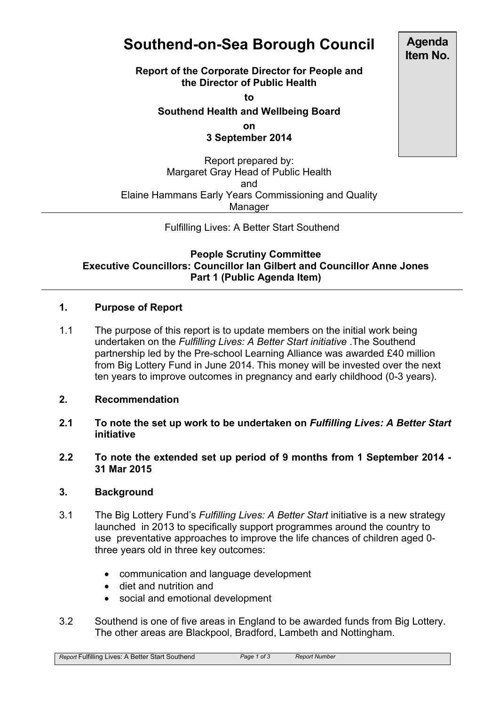# **Southend-on-Sea Borough Council**

**Report of the Corporate Director for People and the Director of Public Health**

**to**

## **Southend Health and Wellbeing Board**

**on**

#### **3 September 2014**

Report prepared by: Margaret Gray Head of Public Health and Elaine Hammans Early Years Commissioning and Quality Manager

Fulfilling Lives: A Better Start Southend

#### **People Scrutiny Committee Executive Councillors: Councillor Ian Gilbert and Councillor Anne Jones Part 1 (Public Agenda Item)**

### **1. Purpose of Report**

1.1 The purpose of this report is to update members on the initial work being undertaken on the *Fulfilling Lives: A Better Start initiative* .The Southend partnership led by the Pre-school Learning Alliance was awarded £40 million from Big Lottery Fund in June 2014. This money will be invested over the next ten years to improve outcomes in pregnancy and early childhood (0-3 years).

#### **2. Recommendation**

- **2.1 To note the set up work to be undertaken on** *Fulfilling Lives: A Better Start* **initiative**
- **2.2 To note the extended set up period of 9 months from 1 September 2014 - 31 Mar 2015**

#### **3. Background**

- 3.1 The Big Lottery Fund's *Fulfilling Lives: A Better Start* initiative is a new strategy launched in 2013 to specifically support programmes around the country to use preventative approaches to improve the life chances of children aged 0 three years old in three key outcomes:
	- communication and language development
	- diet and nutrition and
	- social and emotional development
- 3.2 Southend is one of five areas in England to be awarded funds from Big Lottery. The other areas are Blackpool, Bradford, Lambeth and Nottingham.

*Report* Fulfilling Lives: A Better Start Southend *Page 1 of 3 Report Number*

**Agenda Item No.**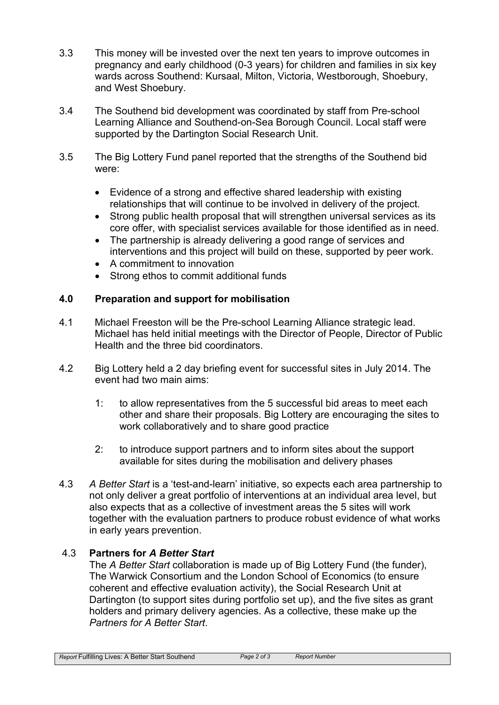- 3.3 This money will be invested over the next ten years to improve outcomes in pregnancy and early childhood (0-3 years) for children and families in six key wards across Southend: Kursaal, Milton, Victoria, Westborough, Shoebury, and West Shoebury.
- 3.4 The Southend bid development was coordinated by staff from Pre-school Learning Alliance and Southend-on-Sea Borough Council. Local staff were supported by the Dartington Social Research Unit.
- 3.5 The Big Lottery Fund panel reported that the strengths of the Southend bid were:
	- Evidence of a strong and effective shared leadership with existing relationships that will continue to be involved in delivery of the project.
	- Strong public health proposal that will strengthen universal services as its core offer, with specialist services available for those identified as in need.
	- The partnership is already delivering a good range of services and interventions and this project will build on these, supported by peer work.
	- A commitment to innovation
	- Strong ethos to commit additional funds

# **4.0 Preparation and support for mobilisation**

- 4.1 Michael Freeston will be the Pre-school Learning Alliance strategic lead. Michael has held initial meetings with the Director of People, Director of Public Health and the three bid coordinators.
- 4.2 Big Lottery held a 2 day briefing event for successful sites in July 2014. The event had two main aims:
	- 1: to allow representatives from the 5 successful bid areas to meet each other and share their proposals. Big Lottery are encouraging the sites to work collaboratively and to share good practice
	- 2: to introduce support partners and to inform sites about the support available for sites during the mobilisation and delivery phases
- 4.3 *A Better Start* is a 'test-and-learn' initiative, so expects each area partnership to not only deliver a great portfolio of interventions at an individual area level, but also expects that as a collective of investment areas the 5 sites will work together with the evaluation partners to produce robust evidence of what works in early years prevention.

# 4.3 **Partners for** *A Better Start*

The *A Better Start* collaboration is made up of Big Lottery Fund (the funder), The Warwick Consortium and the London School of Economics (to ensure coherent and effective evaluation activity), the Social Research Unit at Dartington (to support sites during portfolio set up), and the five sites as grant holders and primary delivery agencies. As a collective, these make up the *Partners for A Better Start*.